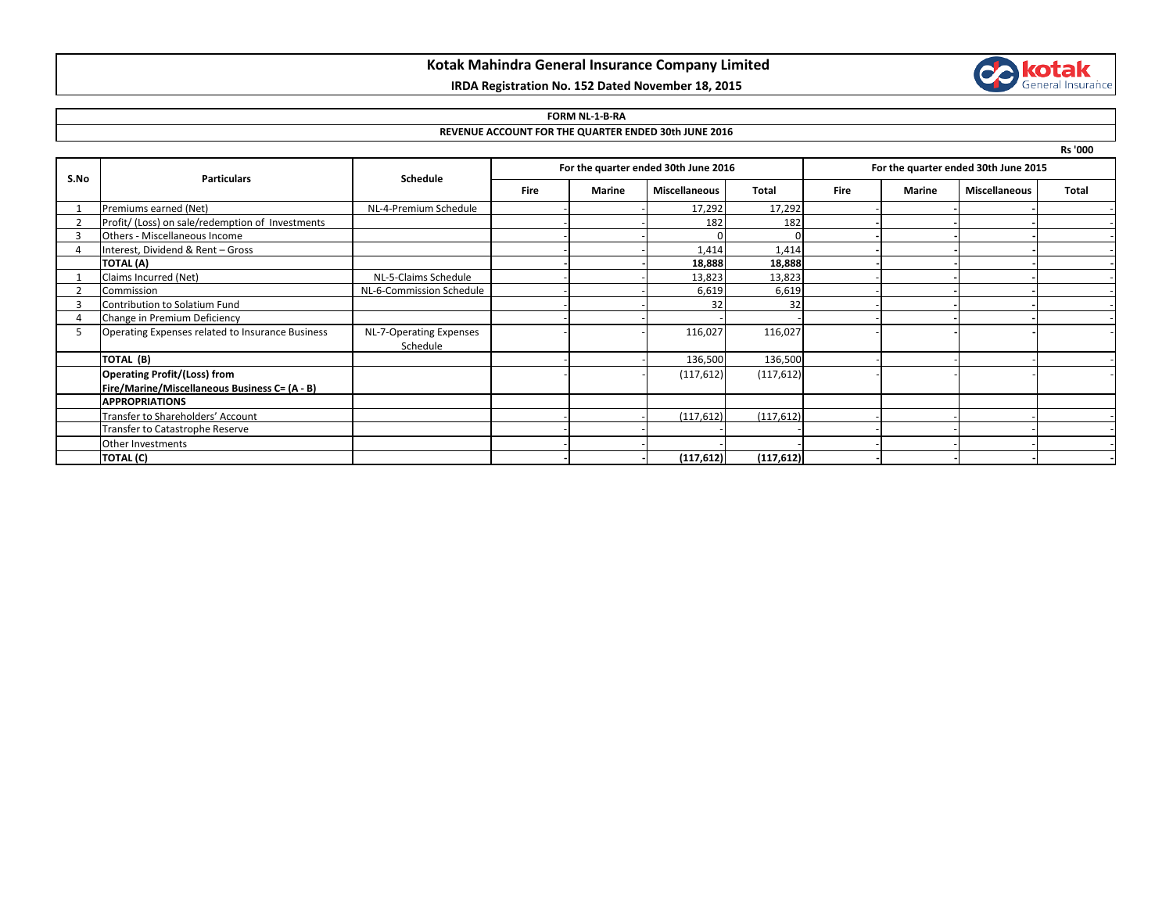## **Kotak Mahindra General Insurance Company Limited**

# **IRDA Registration No. 152 Dated November 18, 2015**



#### **FORM NL-1-B-RA**

### **REVENUE ACCOUNT FOR THE QUARTER ENDED 30th JUNE 2016**

**Rs '000**

| S.No | <b>Particulars</b>                               | Schedule                 | For the quarter ended 30th June 2016 |        |                      |              | For the quarter ended 30th June 2015 |        |                      |              |
|------|--------------------------------------------------|--------------------------|--------------------------------------|--------|----------------------|--------------|--------------------------------------|--------|----------------------|--------------|
|      |                                                  |                          | <b>Fire</b>                          | Marine | <b>Miscellaneous</b> | <b>Total</b> | <b>Fire</b>                          | Marine | <b>Miscellaneous</b> | <b>Total</b> |
|      | Premiums earned (Net)                            | NL-4-Premium Schedule    |                                      |        | 17,292               | 17,292       |                                      |        |                      |              |
|      | Profit/ (Loss) on sale/redemption of Investments |                          |                                      |        | 182                  | 182          |                                      |        |                      |              |
|      | Others - Miscellaneous Income                    |                          |                                      |        |                      |              |                                      |        |                      |              |
|      | Interest, Dividend & Rent - Gross                |                          |                                      |        | 1,414                | 1,414        |                                      |        |                      |              |
|      | <b>TOTAL (A)</b>                                 |                          |                                      |        | 18,888               | 18,888       |                                      |        |                      |              |
|      | Claims Incurred (Net)                            | NL-5-Claims Schedule     |                                      |        | 13,823               | 13,823       |                                      |        |                      |              |
|      | Commission                                       | NL-6-Commission Schedule |                                      |        | 6,619                | 6,619        |                                      |        |                      |              |
|      | Contribution to Solatium Fund                    |                          |                                      |        | 32                   | 32           |                                      |        |                      |              |
|      | Change in Premium Deficiency                     |                          |                                      |        |                      |              |                                      |        |                      |              |
|      | Operating Expenses related to Insurance Business | NL-7-Operating Expenses  |                                      |        | 116,027              | 116,027      |                                      |        |                      |              |
|      |                                                  | Schedule                 |                                      |        |                      |              |                                      |        |                      |              |
|      | TOTAL (B)                                        |                          |                                      |        | 136,500              | 136,500      |                                      |        |                      |              |
|      | <b>Operating Profit/(Loss) from</b>              |                          |                                      |        | (117, 612)           | (117, 612)   |                                      |        |                      |              |
|      | Fire/Marine/Miscellaneous Business C= (A - B)    |                          |                                      |        |                      |              |                                      |        |                      |              |
|      | <b>APPROPRIATIONS</b>                            |                          |                                      |        |                      |              |                                      |        |                      |              |
|      | Transfer to Shareholders' Account                |                          |                                      |        | (117, 612)           | (117, 612)   |                                      |        |                      |              |
|      | Transfer to Catastrophe Reserve                  |                          |                                      |        |                      |              |                                      |        |                      |              |
|      | Other Investments                                |                          |                                      |        |                      |              |                                      |        |                      |              |
|      | <b>TOTAL (C)</b>                                 |                          |                                      |        | (117, 612)           | (117, 612)   |                                      |        |                      |              |